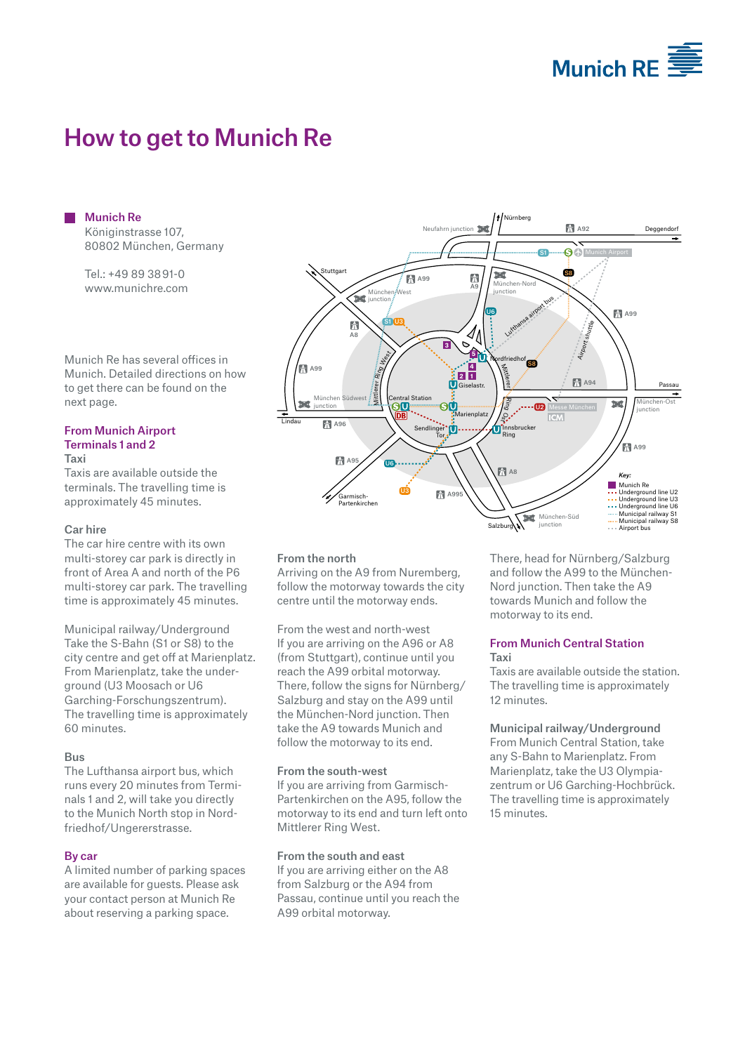

# How to get to Munich Re

Munich Re Königinstrasse 107, 80802 München, Germany

Tel.: +49 89 38 91-0 www.munichre.com

Munich Re has several offices in Munich. Detailed directions on how to get there can be found on the next page.

#### From Munich Airport Terminals 1 and 2

#### Taxi

Taxis are available outside the terminals. The travelling time is approximately 45 minutes.

#### Car hire

The car hire centre with its own multi-storey car park is directly in front of Area A and north of the P6 multi-storey car park. The travelling time is approximately 45 minutes.

Municipal railway/Underground Take the S-Bahn (S1 or S8) to the city centre and get off at Marienplatz. From Marienplatz, take the underground (U3 Moosach or U6 Garching-Forschungszentrum). The travelling time is approximately 60 minutes.

#### Bus

The Lufthansa airport bus, which runs every 20 minutes from Terminals 1 and 2, will take you directly to the Munich North stop in Nordfriedhof/Ungererstrasse.

#### By car

A limited number of parking spaces are available for guests. Please ask your contact person at Munich Re about reserving a parking space.



#### From the north

Arriving on the A9 from Nuremberg, follow the motorway towards the city centre until the motorway ends.

From the west and north-west If you are arriving on the A96 or A8 (from Stuttgart), continue until you reach the A99 orbital motorway. There, follow the signs for Nürnberg/ Salzburg and stay on the A99 until the München-Nord junction. Then take the A9 towards Munich and follow the motorway to its end.

#### From the south-west

If you are arriving from Garmisch-Partenkirchen on the A95, follow the motorway to its end and turn left onto Mittlerer Ring West.

#### From the south and east

If you are arriving either on the A8 from Salzburg or the A94 from Passau, continue until you reach the A99 orbital motorway.

There, head for Nürnberg/Salzburg and follow the A99 to the München-Nord junction. Then take the A9 towards Munich and follow the motorway to its end.

#### From Munich Central Station Taxi

Taxis are available outside the station. The travelling time is approximately 12 minutes.

#### Municipal railway/Underground

From Munich Central Station, take any S-Bahn to Marienplatz. From Marienplatz, take the U3 Olympiazentrum or U6 Garching-Hochbrück. The travelling time is approximately 15 minutes.